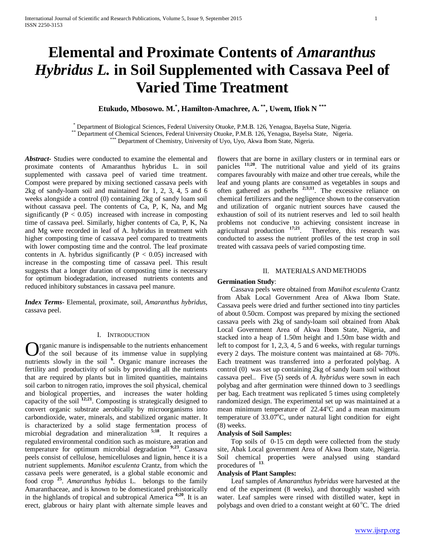# **Elemental and Proximate Contents of** *Amaranthus Hybridus L.* **in Soil Supplemented with Cassava Peel of Varied Time Treatment**

**Etukudo, Mbosowo. M.\* , Hamilton-Amachree, A. \*\*, Uwem, Ifiok N \*\*\***

\* Department of Biological Sciences, Federal University Otuoke, P.M.B. 126, Yenagoa, Bayelsa State, Nigeria.<br>\*\* Department of Chemical Sciences, Federal University Otuoke, P.M.B. 126, Yenagoa, Bayelsa State, Nigeria.<br>\*\*\* D

*Abstract***-** Studies were conducted to examine the elemental and proximate contents of Amaranthus hybridus L. in soil supplemented with cassava peel of varied time treatment. Compost were prepared by mixing sectioned cassava peels with 2kg of sandy-loam soil and maintained for 1, 2, 3, 4, 5 and 6 weeks alongside a control (0) containing 2kg of sandy loam soil without cassava peel. The contents of Ca, P, K, Na, and Mg significantly ( $P < 0.05$ ) increased with increase in composting time of cassava peel. Similarly, higher contents of Ca, P, K, Na and Mg were recorded in leaf of A. hybridus in treatment with higher composting time of cassava peel compared to treatments with lower composting time and the control. The leaf proximate contents in A. hybridus significantly ( $P < 0.05$ ) increased with increase in the composting time of cassava peel. This result suggests that a longer duration of composting time is necessary for optimum biodegradation, increased nutrients contents and reduced inhibitory substances in cassava peel manure.

*Index Terms*- Elemental, proximate, soil, *Amaranthus hybridus,*  cassava peel.

#### I. INTRODUCTION

rganic manure is indispensable to the nutrients enhancement  $\sum_{\text{of the soil because of its immense value in supplying}}$ nutrients slowly in the soil **<sup>6</sup>** . Organic manure increases the fertility and productivity of soils by providing all the nutrients that are required by plants but in limited quantities, maintains soil carbon to nitrogen ratio, improves the soil physical, chemical and biological properties, and increases the water holding capacity of the soil **12;21**. Composting is strategically designed to convert organic substrate aerobically by microorganisms into carbondioxide, water, minerals, and stabilized organic matter. It is characterized by a solid stage fermentation process of microbial degradation and mineralization <sup>5;18</sup>. It requires a regulated environmental condition such as moisture, aeration and temperature for optimum microbial degradation **9;23**. Cassava peels consist of cellulose, hemicelluloses and lignin, hence it is a nutrient supplements. *Manihot esculenta* Crantz, from which the cassava peels were generated, is a global stable economic and food crop **<sup>25</sup>**. *Amaranthus hybidus* L. belongs to the family Amaranthaceae, and is known to be domesticated prehistorically in the highlands of tropical and subtropical America **4;20**. It is an erect, glabrous or hairy plant with alternate simple leaves and

flowers that are borne in axillary clusters or in terminal ears or panicles <sup>11;20</sup>. The nutritional value and yield of its grains compares favourably with maize and other true cereals, while the leaf and young plants are consumed as vegetables in soups and often gathered as potherbs  $2,3;11$ . The excessive reliance on chemical fertilizers and the negligence shown to the conservation and utilization of organic nutrient sources have caused the exhaustion of soil of its nutrient reserves and led to soil health problems not conducive to achieving consistent increase in agricultural production **17;21**. Therefore, this research was conducted to assess the nutrient profiles of the test crop in soil treated with cassava peels of varied composting time.

## II. MATERIALS AND METHODS

#### **Germination Study**:

 Cassava peels were obtained from *Manihot esculenta* Crantz from Abak Local Government Area of Akwa Ibom State. Cassava peels were dried and further sectioned into tiny particles of about 0.50cm. Compost was prepared by mixing the sectioned cassava peels with 2kg of sandy-loam soil obtained from Abak Local Government Area of Akwa Ibom State, Nigeria, and stacked into a heap of 1.50m height and 1.50m base width and left to compost for 1, 2,3, 4, 5 and 6 weeks, with regular turnings every 2 days. The moisture content was maintained at 68- 70%. Each treatment was transferred into a perforated polybag. A control (0) was set up containing 2kg of sandy loam soil without cassava peel.. Five (5) seeds of *A. hybridus* were sown in each polybag and after germination were thinned down to 3 seedlings per bag. Each treatment was replicated 5 times using completely randomized design. The experimental set up was maintained at a mean minimum temperature of 22.44°C and a mean maximum temperature of  $33.07^{\circ}$ C, under natural light condition for eight (8) weeks.

#### **Analysis of Soil Samples:**

 Top soils of 0-15 cm depth were collected from the study site, Abak Local government Area of Akwa Ibom state, Nigeria. Soil chemical properties were analysed using standard procedures of **<sup>13</sup>**.

# **Analysis of Plant Samples:**

 Leaf samples of *Amaranthus hybridus* were harvested at the end of the experiment (8 weeks), and thoroughly washed with water. Leaf samples were rinsed with distilled water, kept in polybags and oven dried to a constant weight at 60 °C. The dried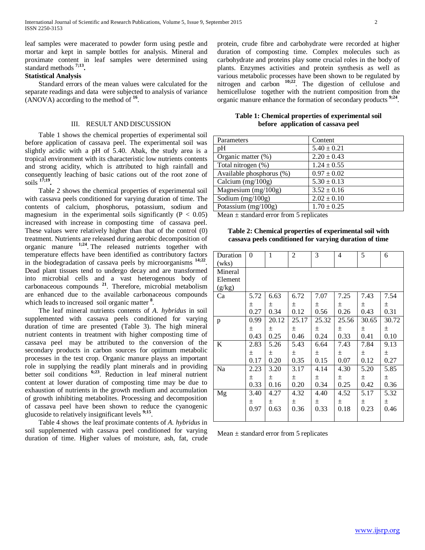leaf samples were macerated to powder form using pestle and mortar and kept in sample bottles for analysis. Mineral and proximate content in leaf samples were determined using standard methods **7;13.**

## **Statistical Analysis**

 Standard errors of the mean values were calculated for the separate readings and data were subjected to analysis of variance (ANOVA) according to the method of **<sup>16</sup>**.

#### III. RESULT AND DISCUSSION

 Table 1 shows the chemical properties of experimental soil before application of cassava peel. The experimental soil was slightly acidic with a pH of 5.40. Abak, the study area is a tropical environment with its characteristic low nutrients contents and strong acidity, which is attributed to high rainfall and consequently leaching of basic cations out of the root zone of soils **17;19.**

 Table 2 shows the chemical properties of experimental soil with cassava peels conditioned for varying duration of time. The contents of calcium, phosphorus, potassium, sodium and magnesium in the experimental soils significantly ( $P < 0.05$ ) increased with increase in composting time of cassava peel. These values were relatively higher than that of the control (0) treatment. Nutrients are released during aerobic decomposition of organic manure **1;24**. The released nutrients together with temperature effects have been identified as contributory factors in the biodegradation of cassava peels by microorganisms **14;22**. Dead plant tissues tend to undergo decay and are transformed into microbial cells and a vast heterogenous body of carbonaceous compounds **<sup>21</sup>**. Therefore, microbial metabolism are enhanced due to the available carbonaceous compounds which leads to increased soil organic matter **<sup>8</sup>** .

 The leaf mineral nutrients contents of *A. hybridus* in soil supplemented with cassava peels conditioned for varying duration of time are presented (Table 3). The high mineral nutrient contents in treatment with higher composting time of cassava peel may be attributed to the conversion of the secondary products in carbon sources for optimum metabolic processes in the test crop. Organic manure playss an important role in supplying the readily plant minerals and in providing better soil conditions **6;23**. Reduction in leaf mineral nutrient content at lower duration of composting time may be due to exhaustion of nutrients in the growth medium and accumulation of growth inhibiting metabolites. Processing and decomposition of cassava peel have been shown to reduce the cyanogenic glucoside to relatively insignificant levels **9;15**.

 Table 4 shows the leaf proximate contents of *A. hybridus* in soil supplemented with cassava peel conditioned for varying duration of time. Higher values of moisture, ash, fat, crude protein, crude fibre and carbohydrate were recorded at higher duration of composting time. Complex molecules such as carbohydrate and proteins play some crucial roles in the body of plants. Enzymes activities and protein synthesis as well as various metabolic processes have been shown to be regulated by nitrogen and carbon **10;22**. The digestion of cellulose and hemicellulose together with the nutrient composition from the organic manure enhance the formation of secondary products **9;24**.

**Table 1: Chemical properties of experimental soil before application of cassava peel**

| Parameters               | Content         |
|--------------------------|-----------------|
| pH                       | $5.40 \pm 0.21$ |
| Organic matter (%)       | $2.20 \pm 0.43$ |
| Total nitrogen (%)       | $1.24 \pm 0.55$ |
| Available phosphorus (%) | $0.97 \pm 0.02$ |
| Calcium $(mg/100g)$      | $5.30 \pm 0.13$ |
| Magnesium (mg/100g)      | $3.52 \pm 0.16$ |
| Sodium $(mg/100g)$       | $2.02 \pm 0.10$ |
| Potassium $(mg/100g)$    | $1.70 \pm 0.25$ |

Mean  $\pm$  standard error from 5 replicates

**Table 2: Chemical properties of experimental soil with cassava peels conditioned for varying duration of time**

| Duration | $\theta$ | 1     | $\overline{2}$ | 3     | 4     | 5     | 6     |
|----------|----------|-------|----------------|-------|-------|-------|-------|
| (wks)    |          |       |                |       |       |       |       |
| Mineral  |          |       |                |       |       |       |       |
| Element  |          |       |                |       |       |       |       |
| (g/kg)   |          |       |                |       |       |       |       |
| Ca       | 5.72     | 6.63  | 6.72           | 7.07  | 7.25  | 7.43  | 7.54  |
|          | $\pm$    | 土     | $\pm$          | $\pm$ | 土     | $\pm$ | 土     |
|          | 0.27     | 0.34  | 0.12           | 0.56  | 0.26  | 0.43  | 0.31  |
| p        | 0.99     | 20.12 | 25.17          | 25.32 | 25.56 | 30.65 | 30.72 |
|          | $\pm$    | 土     | $\pm$          | $\pm$ | $\pm$ | 土     | 土     |
|          | 0.43     | 0.25  | 0.46           | 0.24  | 0.33  | 0.41  | 0.10  |
| K        | 2.83     | 5.26  | 5.43           | 6.64  | 7.43  | 7.84  | 9.13  |
|          | $\pm$    | $\pm$ | $\pm$          | $\pm$ | 土     | $\pm$ | 土     |
|          | 0.17     | 0.20  | 0.35           | 0.15  | 0.07  | 0.12  | 0.27  |
| Na       | 2.23     | 3.20  | 3.17           | 4.14  | 4.30  | 5.20  | 5.85  |
|          | 土        | $\pm$ | $\pm$          | 土     | $\pm$ | $\pm$ | $\pm$ |
|          | 0.33     | 0.16  | 0.20           | 0.34  | 0.25  | 0.42  | 0.36  |
| Mg       | 3.40     | 4.27  | 4.32           | 4.40  | 4.52  | 5.17  | 5.32  |
|          | $\pm$    | 土     | 土              | 土     | 土     | $\pm$ | $\pm$ |
|          | 0.97     | 0.63  | 0.36           | 0.33  | 0.18  | 0.23  | 0.46  |
|          |          |       |                |       |       |       |       |

Mean  $\pm$  standard error from 5 replicates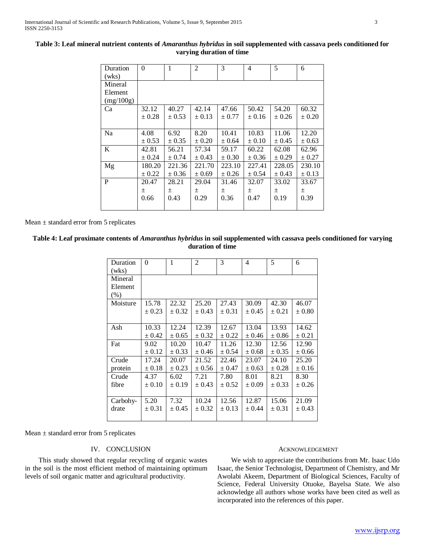| Duration<br>(wks) | $\Omega$   | 1          | $\overline{2}$ | 3          | 4          | 5          | 6          |
|-------------------|------------|------------|----------------|------------|------------|------------|------------|
| Mineral           |            |            |                |            |            |            |            |
| Element           |            |            |                |            |            |            |            |
| (mg/100g)         |            |            |                |            |            |            |            |
| Ca                | 32.12      | 40.27      | 42.14          | 47.66      | 50.42      | 54.20      | 60.32      |
|                   | $\pm 0.28$ | $\pm 0.53$ | $\pm 0.13$     | ± 0.77     | $\pm 0.16$ | ± 0.26     | $\pm 0.20$ |
|                   |            |            |                |            |            |            |            |
| Na                | 4.08       | 6.92       | 8.20           | 10.41      | 10.83      | 11.06      | 12.20      |
|                   | ± 0.53     | $\pm 0.35$ | $\pm 0.20$     | ± 0.64     | ± 0.10     | ± 0.45     | $\pm 0.63$ |
| K                 | 42.81      | 56.21      | 57.34          | 59.17      | 60.22      | 62.08      | 62.96      |
|                   | ± 0.24     | ± 0.74     | ± 0.43         | $\pm 0.30$ | ± 0.36     | $\pm 0.29$ | ± 0.27     |
| Mg                | 180.20     | 221.36     | 221.70         | 223.10     | 227.41     | 228.05     | 230.10     |
|                   | $\pm$ 0.22 | ± 0.36     | $\pm 0.69$     | ± 0.26     | ± 0.54     | ± 0.43     | $\pm 0.13$ |
| P                 | 20.47      | 28.21      | 29.04          | 31.46      | 32.07      | 33.02      | 33.67      |
|                   | 土          | 土          | 土              | 土          | 土          | 土          | 土          |
|                   | 0.66       | 0.43       | 0.29           | 0.36       | 0.47       | 0.19       | 0.39       |
|                   |            |            |                |            |            |            |            |

## **Table 3: Leaf mineral nutrient contents of** *Amaranthus hybridus* **in soil supplemented with cassava peels conditioned for varying duration of time**

Mean  $\pm$  standard error from 5 replicates

# **Table 4: Leaf proximate contents of** *Amaranthus hybridus* **in soil supplemented with cassava peels conditioned for varying duration of time**

| Duration<br>(wks)          | $\theta$   | 1          | 2          | 3          | $\overline{4}$ | 5          | 6          |
|----------------------------|------------|------------|------------|------------|----------------|------------|------------|
| Mineral<br>Element<br>(% ) |            |            |            |            |                |            |            |
| Moisture                   | 15.78      | 22.32      | 25.20      | 27.43      | 30.09          | 42.30      | 46.07      |
|                            | $\pm 0.23$ | ± 0.32     | ± 0.43     | $\pm 0.31$ | ± 0.45         | ± 0.21     | $\pm 0.80$ |
|                            |            |            |            |            |                |            |            |
| Ash                        | 10.33      | 12.24      | 12.39      | 12.67      | 13.04          | 13.93      | 14.62      |
|                            | $\pm 0.42$ | ± 0.65     | $\pm$ 0.32 | ± 0.22     | ± 0.46         | $\pm 0.86$ | $\pm 0.21$ |
| Fat                        | 9.02       | 10.20      | 10.47      | 11.26      | 12.30          | 12.56      | 12.90      |
|                            | $\pm 0.12$ | $\pm$ 0.33 | ± 0.46     | ± 0.54     | ± 0.68         | $\pm 0.35$ | ± 0.66     |
| Crude                      | 17.24      | 20.07      | 21.52      | 22.46      | 23.07          | 24.10      | 25.20      |
| protein                    | $\pm 0.18$ | $\pm 0.23$ | ± 0.56     | ± 0.47     | ± 0.63         | $\pm 0.28$ | $\pm 0.16$ |
| Crude                      | 4.37       | 6.02       | 7.21       | 7.80       | 8.01           | 8.21       | 8.30       |
| fibre                      | $\pm 0.10$ | $\pm 0.19$ | ± 0.43     | ± 0.52     | $\pm 0.09$     | ± 0.33     | ± 0.26     |
|                            |            |            |            |            |                |            |            |
| Carbohy-                   | 5.20       | 7.32       | 10.24      | 12.56      | 12.87          | 15.06      | 21.09      |
| drate                      | $\pm 0.31$ | ± 0.45     | $\pm 0.32$ | $\pm 0.13$ | ± 0.44         | ± 0.31     | $\pm 0.43$ |
|                            |            |            |            |            |                |            |            |

Mean ± standard error from 5 replicates

## IV. CONCLUSION

 This study showed that regular recycling of organic wastes in the soil is the most efficient method of maintaining optimum levels of soil organic matter and agricultural productivity.

## ACKNOWLEDGEMENT

 We wish to appreciate the contributions from Mr. Isaac Udo Isaac, the Senior Technologist, Department of Chemistry, and Mr Awolabi Akeem, Department of Biological Sciences, Faculty of Science, Federal University Otuoke, Bayelsa State. We also acknowledge all authors whose works have been cited as well as incorporated into the references of this paper.